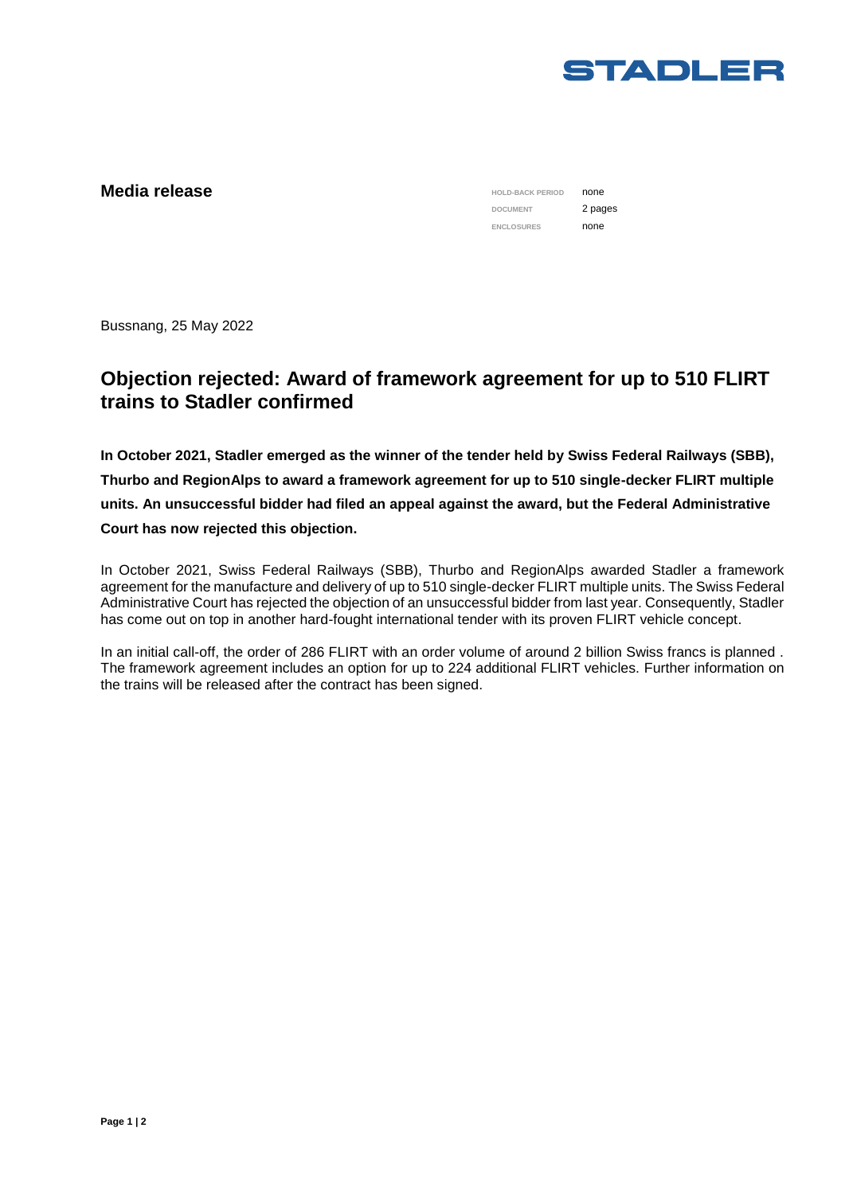

## **Media release**

**HOLD-BACK PERIOD** none **DOCUMENT** 2 pages ENCLOSURES **none** 

Bussnang, 25 May 2022

## **Objection rejected: Award of framework agreement for up to 510 FLIRT trains to Stadler confirmed**

**In October 2021, Stadler emerged as the winner of the tender held by Swiss Federal Railways (SBB), Thurbo and RegionAlps to award a framework agreement for up to 510 single-decker FLIRT multiple units. An unsuccessful bidder had filed an appeal against the award, but the Federal Administrative Court has now rejected this objection.** 

In October 2021, Swiss Federal Railways (SBB), Thurbo and RegionAlps awarded Stadler a framework agreement for the manufacture and delivery of up to 510 single-decker FLIRT multiple units. The Swiss Federal Administrative Court has rejected the objection of an unsuccessful bidder from last year. Consequently, Stadler has come out on top in another hard-fought international tender with its proven FLIRT vehicle concept.

In an initial call-off, the order of 286 FLIRT with an order volume of around 2 billion Swiss francs is planned . The framework agreement includes an option for up to 224 additional FLIRT vehicles. Further information on the trains will be released after the contract has been signed.